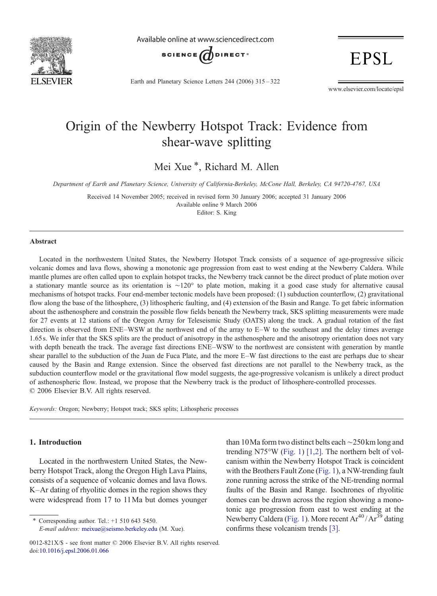

Available online at www.sciencedirect.com



**EPSL** 

Earth and Planetary Science Letters 244 (2006) 315–322

www.elsevier.com/locate/epsl

# Origin of the Newberry Hotspot Track: Evidence from shear-wave splitting

Mei Xue<sup>\*</sup>, Richard M. Allen

Department of Earth and Planetary Science, University of California-Berkeley, McCone Hall, Berkeley, CA 94720-4767, USA

Received 14 November 2005; received in revised form 30 January 2006; accepted 31 January 2006 Available online 9 March 2006 Editor: S. King

#### Abstract

Located in the northwestern United States, the Newberry Hotspot Track consists of a sequence of age-progressive silicic volcanic domes and lava flows, showing a monotonic age progression from east to west ending at the Newberry Caldera. While mantle plumes are often called upon to explain hotspot tracks, the Newberry track cannot be the direct product of plate motion over a stationary mantle source as its orientation is ∼120° to plate motion, making it a good case study for alternative causal mechanisms of hotspot tracks. Four end-member tectonic models have been proposed: (1) subduction counterflow, (2) gravitational flow along the base of the lithosphere, (3) lithospheric faulting, and (4) extension of the Basin and Range. To get fabric information about the asthenosphere and constrain the possible flow fields beneath the Newberry track, SKS splitting measurements were made for 27 events at 12 stations of the Oregon Array for Teleseismic Study (OATS) along the track. A gradual rotation of the fast direction is observed from ENE–WSW at the northwest end of the array to E–W to the southeast and the delay times average 1.65 s. We infer that the SKS splits are the product of anisotropy in the asthenosphere and the anisotropy orientation does not vary with depth beneath the track. The average fast directions ENE–WSW to the northwest are consistent with generation by mantle shear parallel to the subduction of the Juan de Fuca Plate, and the more E–W fast directions to the east are perhaps due to shear caused by the Basin and Range extension. Since the observed fast directions are not parallel to the Newberry track, as the subduction counterflow model or the gravitational flow model suggests, the age-progressive volcanism is unlikely a direct product of asthenospheric flow. Instead, we propose that the Newberry track is the product of lithosphere-controlled processes. © 2006 Elsevier B.V. All rights reserved.

Keywords: Oregon; Newberry; Hotspot track; SKS splits; Lithospheric processes

## 1. Introduction

Located in the northwestern United States, the Newberry Hotspot Track, along the Oregon High Lava Plains, consists of a sequence of volcanic domes and lava flows. K–Ar dating of rhyolitic domes in the region shows they were widespread from 17 to 11Ma but domes younger

⁎ Corresponding author. Tel.: +1 510 643 5450. E-mail address: [meixue@seismo.berkeley.edu](mailto:meixue@seismo.berkeley.edu) (M. Xue).

than 10Ma form two distinct belts each ∼250km long and trending N75°W [\(Fig. 1](#page-1-0)) [\[1,2\].](#page-6-0) The northern belt of volcanism within the Newberry Hotspot Track is coincident with the Brothers Fault Zone ([Fig. 1\)](#page-1-0), a NW-trending fault zone running across the strike of the NE-trending normal faults of the Basin and Range. Isochrones of rhyolitic domes can be drawn across the region showing a monotonic age progression from east to west ending at the Newberry Caldera ([Fig. 1](#page-1-0)). More recent  $Ar^{40}/Ar^{39}$  dating confirms these volcanism trends [\[3\]](#page-6-0).

<sup>0012-821</sup>X/\$ - see front matter © 2006 Elsevier B.V. All rights reserved. doi[:10.1016/j.epsl.2006.01.066](http://dx.doi.org/10.1016/j.epsl.2006.01.066)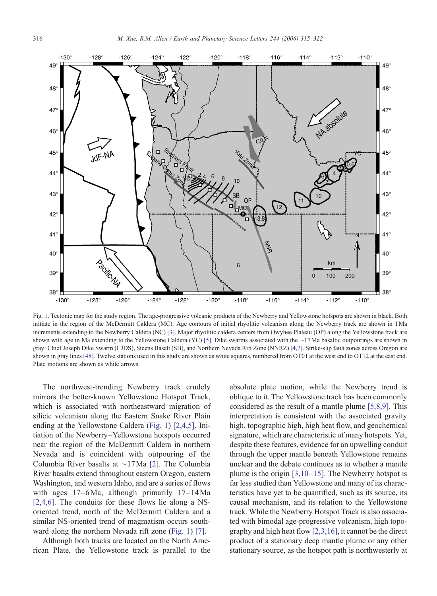<span id="page-1-0"></span>

Fig. 1. Tectonic map for the study region. The age-progressive volcanic products of the Newberry and Yellowstone hotspots are shown in black. Both initiate in the region of the McDermitt Caldera (MC). Age contours of initial rhyolitic volcanism along the Newberry track are shown in 1Ma increments extending to the Newberry Caldera (NC) [\[3\].](#page-6-0) Major rhyolitic caldera centers from Owyhee Plateau (OP) along the Yellowstone track are shown with age in Ma extending to the Yellowstone Caldera (YC) [\[5\]](#page-6-0). Dike swarms associated with the ∼17Ma basaltic outpourings are shown in gray: Chief Joseph Dike Swarm (CJDS), Steens Basalt (SB), and Northern Nevada Rift Zone (NNRZ) [\[4,7\]](#page-6-0). Strike-slip fault zones across Oregon are shown in gray lines [\[48\].](#page-7-0) Twelve stations used in this study are shown as white squares, numbered from OT01 at the west end to OT12 at the east end. Plate motions are shown as white arrows.

The northwest-trending Newberry track crudely mirrors the better-known Yellowstone Hotspot Track, which is associated with northeastward migration of silicic volcanism along the Eastern Snake River Plain ending at the Yellowstone Caldera (Fig. 1) [\[2,4,5\].](#page-6-0) Initiation of the Newberry–Yellowstone hotspots occurred near the region of the McDermitt Caldera in northern Nevada and is coincident with outpouring of the Columbia River basalts at ∼17Ma [\[2\].](#page-6-0) The Columbia River basalts extend throughout eastern Oregon, eastern Washington, and western Idaho, and are a series of flows with ages 17–6Ma, although primarily 17–14Ma [\[2,4,6\].](#page-6-0) The conduits for these flows lie along a NSoriented trend, north of the McDermitt Caldera and a similar NS-oriented trend of magmatism occurs southward along the northern Nevada rift zone (Fig. 1) [\[7\].](#page-6-0)

Although both tracks are located on the North American Plate, the Yellowstone track is parallel to the absolute plate motion, while the Newberry trend is oblique to it. The Yellowstone track has been commonly considered as the result of a mantle plume [\[5,8,9\]](#page-6-0). This interpretation is consistent with the associated gravity high, topographic high, high heat flow, and geochemical signature, which are characteristic of many hotspots. Yet, despite these features, evidence for an upwelling conduit through the upper mantle beneath Yellowstone remains unclear and the debate continues as to whether a mantle plume is the origin  $[3,10-15]$  $[3,10-15]$ . The Newberry hotspot is far less studied than Yellowstone and many of its characteristics have yet to be quantified, such as its source, its causal mechanism, and its relation to the Yellowstone track. While the Newberry Hotspot Track is also associated with bimodal age-progressive volcanism, high topography and high heat flow [\[2,3,16\],](#page-6-0) it cannot be the direct product of a stationary deep mantle plume or any other stationary source, as the hotspot path is northwesterly at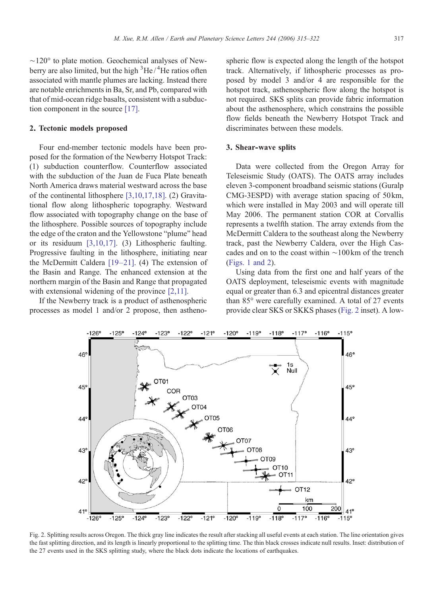<span id="page-2-0"></span>∼120° to plate motion. Geochemical analyses of Newberry are also limited, but the high <sup>3</sup>He/<sup>4</sup>He ratios often associated with mantle plumes are lacking. Instead there are notable enrichments in Ba, Sr, and Pb, compared with that of mid-ocean ridge basalts, consistent with a subduction component in the source [\[17\].](#page-6-0)

#### 2. Tectonic models proposed

Four end-member tectonic models have been proposed for the formation of the Newberry Hotspot Track: (1) subduction counterflow. Counterflow associated with the subduction of the Juan de Fuca Plate beneath North America draws material westward across the base of the continental lithosphere [\[3,10,17,18\]](#page-6-0). (2) Gravitational flow along lithospheric topography. Westward flow associated with topography change on the base of the lithosphere. Possible sources of topography include the edge of the craton and the Yellowstone "plume" head or its residuum [\[3,10,17\]](#page-6-0). (3) Lithospheric faulting. Progressive faulting in the lithosphere, initiating near the McDermitt Caldera [\[19](#page-6-0)–21]. (4) The extension of the Basin and Range. The enhanced extension at the northern margin of the Basin and Range that propagated with extensional widening of the province [\[2,11\].](#page-6-0)

If the Newberry track is a product of asthenospheric processes as model 1 and/or 2 propose, then astheno-

spheric flow is expected along the length of the hotspot track. Alternatively, if lithospheric processes as proposed by model 3 and/or 4 are responsible for the hotspot track, asthenospheric flow along the hotspot is not required. SKS splits can provide fabric information about the asthenosphere, which constrains the possible flow fields beneath the Newberry Hotspot Track and discriminates between these models.

#### 3. Shear-wave splits

Data were collected from the Oregon Array for Teleseismic Study (OATS). The OATS array includes eleven 3-component broadband seismic stations (Guralp CMG-3ESPD) with average station spacing of 50km, which were installed in May 2003 and will operate till May 2006. The permanent station COR at Corvallis represents a twelfth station. The array extends from the McDermitt Caldera to the southeast along the Newberry track, past the Newberry Caldera, over the High Cascades and on to the coast within ∼100km of the trench [\(Figs. 1 and 2](#page-1-0)).

Using data from the first one and half years of the OATS deployment, teleseismic events with magnitude equal or greater than 6.3 and epicentral distances greater than 85° were carefully examined. A total of 27 events provide clear SKS or SKKS phases (Fig. 2 inset). A low-



Fig. 2. Splitting results across Oregon. The thick gray line indicates the result after stacking all useful events at each station. The line orientation gives the fast splitting direction, and its length is linearly proportional to the splitting time. The thin black crosses indicate null results. Inset: distribution of the 27 events used in the SKS splitting study, where the black dots indicate the locations of earthquakes.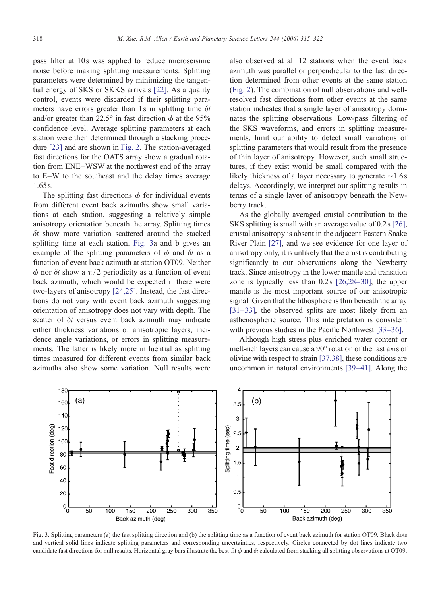pass filter at 10s was applied to reduce microseismic noise before making splitting measurements. Splitting parameters were determined by minimizing the tangential energy of SKS or SKKS arrivals [\[22\].](#page-6-0) As a quality control, events were discarded if their splitting parameters have errors greater than 1s in splitting time  $\delta t$ and/or greater than 22.5° in fast direction  $\phi$  at the 95% confidence level. Average splitting parameters at each station were then determined through a stacking procedure [\[23\]](#page-6-0) and are shown in [Fig. 2](#page-2-0). The station-averaged fast directions for the OATS array show a gradual rotation from ENE–WSW at the northwest end of the array to E–W to the southeast and the delay times average 1.65 s.

The splitting fast directions  $\phi$  for individual events from different event back azimuths show small variations at each station, suggesting a relatively simple anisotropy orientation beneath the array. Splitting times  $\delta t$  show more variation scattered around the stacked splitting time at each station. Fig. 3a and b gives an example of the splitting parameters of  $\phi$  and  $\delta t$  as a function of event back azimuth at station OT09. Neither  $\phi$  nor  $\delta t$  show a  $\pi/2$  periodicity as a function of event back azimuth, which would be expected if there were two-layers of anisotropy [\[24,25\]](#page-6-0). Instead, the fast directions do not vary with event back azimuth suggesting orientation of anisotropy does not vary with depth. The scatter of  $\delta t$  versus event back azimuth may indicate either thickness variations of anisotropic layers, incidence angle variations, or errors in splitting measurements. The latter is likely more influential as splitting times measured for different events from similar back azimuths also show some variation. Null results were

also observed at all 12 stations when the event back azimuth was parallel or perpendicular to the fast direction determined from other events at the same station [\(Fig. 2](#page-2-0)). The combination of null observations and wellresolved fast directions from other events at the same station indicates that a single layer of anisotropy dominates the splitting observations. Low-pass filtering of the SKS waveforms, and errors in splitting measurements, limit our ability to detect small variations of splitting parameters that would result from the presence of thin layer of anisotropy. However, such small structures, if they exist would be small compared with the likely thickness of a layer necessary to generate ∼1.6 s delays. Accordingly, we interpret our splitting results in terms of a single layer of anisotropy beneath the Newberry track.

As the globally averaged crustal contribution to the SKS splitting is small with an average value of 0.2s [\[26\],](#page-6-0) crustal anisotropy is absent in the adjacent Eastern Snake River Plain [\[27\],](#page-6-0) and we see evidence for one layer of anisotropy only, it is unlikely that the crust is contributing significantly to our observations along the Newberry track. Since anisotropy in the lower mantle and transition zone is typically less than 0.2s [\[26,28](#page-6-0)–30], the upper mantle is the most important source of our anisotropic signal. Given that the lithosphere is thin beneath the array [\[31](#page-6-0)–33], the observed splits are most likely from an asthenospheric source. This interpretation is consistent with previous studies in the Pacific Northwest [\[33](#page-6-0)–36].

Although high stress plus enriched water content or melt-rich layers can cause a 90° rotation of the fast axis of olivine with respect to strain [\[37,38\]](#page-7-0), these conditions are uncommon in natural environments [\[39](#page-7-0)–41]. Along the



Fig. 3. Splitting parameters (a) the fast splitting direction and (b) the splitting time as a function of event back azimuth for station OT09. Black dots and vertical solid lines indicate splitting parameters and corresponding uncertainties, respectively. Circles connected by dot lines indicate two candidate fast directions for null results. Horizontal gray bars illustrate the best-fit  $\phi$  and  $\delta t$  calculated from stacking all splitting observations at OT09.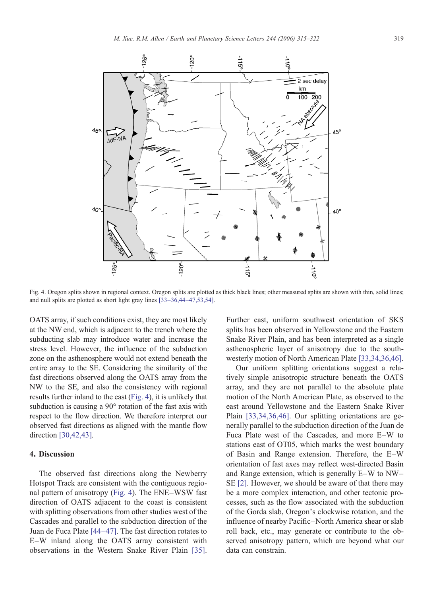

Fig. 4. Oregon splits shown in regional context. Oregon splits are plotted as thick black lines; other measured splits are shown with thin, solid lines; and null splits are plotted as short light gray lines [33–36,44–[47,53,54\]](#page-6-0).

OATS array, if such conditions exist, they are most likely at the NW end, which is adjacent to the trench where the subducting slab may introduce water and increase the stress level. However, the influence of the subduction zone on the asthenosphere would not extend beneath the entire array to the SE. Considering the similarity of the fast directions observed along the OATS array from the NW to the SE, and also the consistency with regional results further inland to the east (Fig. 4), it is unlikely that subduction is causing a 90° rotation of the fast axis with respect to the flow direction. We therefore interpret our observed fast directions as aligned with the mantle flow direction [\[30,42,43\]](#page-6-0).

## 4. Discussion

The observed fast directions along the Newberry Hotspot Track are consistent with the contiguous regional pattern of anisotropy (Fig. 4). The ENE–WSW fast direction of OATS adjacent to the coast is consistent with splitting observations from other studies west of the Cascades and parallel to the subduction direction of the Juan de Fuca Plate [44–[47\]](#page-7-0). The fast direction rotates to E–W inland along the OATS array consistent with observations in the Western Snake River Plain [\[35\].](#page-6-0)

Further east, uniform southwest orientation of SKS splits has been observed in Yellowstone and the Eastern Snake River Plain, and has been interpreted as a single asthenospheric layer of anisotropy due to the southwesterly motion of North American Plate [\[33,34,36,46\].](#page-6-0)

Our uniform splitting orientations suggest a relatively simple anisotropic structure beneath the OATS array, and they are not parallel to the absolute plate motion of the North American Plate, as observed to the east around Yellowstone and the Eastern Snake River Plain [\[33,34,36,46\]](#page-6-0). Our splitting orientations are generally parallel to the subduction direction of the Juan de Fuca Plate west of the Cascades, and more E–W to stations east of OT05, which marks the west boundary of Basin and Range extension. Therefore, the E–W orientation of fast axes may reflect west-directed Basin and Range extension, which is generally E–W to NW– SE [\[2\].](#page-6-0) However, we should be aware of that there may be a more complex interaction, and other tectonic processes, such as the flow associated with the subduction of the Gorda slab, Oregon's clockwise rotation, and the influence of nearby Pacific–North America shear or slab roll back, etc., may generate or contribute to the observed anisotropy pattern, which are beyond what our data can constrain.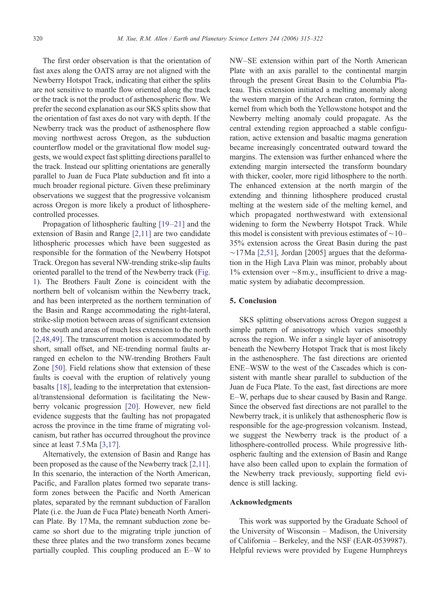The first order observation is that the orientation of fast axes along the OATS array are not aligned with the Newberry Hotspot Track, indicating that either the splits are not sensitive to mantle flow oriented along the track or the track is not the product of asthenospheric flow. We prefer the second explanation as our SKS splits show that the orientation of fast axes do not vary with depth. If the Newberry track was the product of asthenosphere flow moving northwest across Oregon, as the subduction counterflow model or the gravitational flow model suggests, we would expect fast splitting directions parallel to the track. Instead our splitting orientations are generally parallel to Juan de Fuca Plate subduction and fit into a much broader regional picture. Given these preliminary observations we suggest that the progressive volcanism across Oregon is more likely a product of lithospherecontrolled processes.

Propagation of lithospheric faulting [19–[21\]](#page-6-0) and the extension of Basin and Range [\[2,11\]](#page-6-0) are two candidate lithospheric processes which have been suggested as responsible for the formation of the Newberry Hotspot Track. Oregon has several NW-trending strike-slip faults oriented parallel to the trend of the Newberry track ([Fig.](#page-1-0) [1](#page-1-0)). The Brothers Fault Zone is coincident with the northern belt of volcanism within the Newberry track, and has been interpreted as the northern termination of the Basin and Range accommodating the right-lateral, strike-slip motion between areas of significant extension to the south and areas of much less extension to the north [\[2,48,49\].](#page-6-0) The transcurrent motion is accommodated by short, small offset, and NE-trending normal faults arranged en echelon to the NW-trending Brothers Fault Zone [\[50\]](#page-7-0). Field relations show that extension of these faults is coeval with the eruption of relatively young basalts [\[18\],](#page-6-0) leading to the interpretation that extensional/transtensional deformation is facilitating the Newberry volcanic progression [\[20\]](#page-6-0). However, new field evidence suggests that the faulting has not propagated across the province in the time frame of migrating volcanism, but rather has occurred throughout the province since at least 7.5 Ma [\[3,17\].](#page-6-0)

Alternatively, the extension of Basin and Range has been proposed as the cause of the Newberry track [\[2,11\].](#page-6-0) In this scenario, the interaction of the North American, Pacific, and Farallon plates formed two separate transform zones between the Pacific and North American plates, separated by the remnant subduction of Farallon Plate (i.e. the Juan de Fuca Plate) beneath North American Plate. By 17Ma, the remnant subduction zone became so short due to the migrating triple junction of these three plates and the two transform zones became partially coupled. This coupling produced an E–W to

NW–SE extension within part of the North American Plate with an axis parallel to the continental margin through the present Great Basin to the Columbia Plateau. This extension initiated a melting anomaly along the western margin of the Archean craton, forming the kernel from which both the Yellowstone hotspot and the Newberry melting anomaly could propagate. As the central extending region approached a stable configuration, active extension and basaltic magma generation became increasingly concentrated outward toward the margins. The extension was further enhanced where the extending margin intersected the transform boundary with thicker, cooler, more rigid lithosphere to the north. The enhanced extension at the north margin of the extending and thinning lithosphere produced crustal melting at the western side of the melting kernel, and which propagated northwestward with extensional widening to form the Newberry Hotspot Track. While this model is consistent with previous estimates of ∼10– 35% extension across the Great Basin during the past  $~\sim$ 17Ma [\[2,51\],](#page-6-0) Jordan [2005] argues that the deformation in the High Lava Plain was minor, probably about 1% extension over ∼8m.y., insufficient to drive a magmatic system by adiabatic decompression.

# 5. Conclusion

SKS splitting observations across Oregon suggest a simple pattern of anisotropy which varies smoothly across the region. We infer a single layer of anisotropy beneath the Newberry Hotspot Track that is most likely in the asthenosphere. The fast directions are oriented ENE–WSW to the west of the Cascades which is consistent with mantle shear parallel to subduction of the Juan de Fuca Plate. To the east, fast directions are more E–W, perhaps due to shear caused by Basin and Range. Since the observed fast directions are not parallel to the Newberry track, it is unlikely that asthenospheric flow is responsible for the age-progression volcanism. Instead, we suggest the Newberry track is the product of a lithosphere-controlled process. While progressive lithospheric faulting and the extension of Basin and Range have also been called upon to explain the formation of the Newberry track previously, supporting field evidence is still lacking.

## Acknowledgments

This work was supported by the Graduate School of the University of Wisconsin – Madison, the University of California – Berkeley, and the NSF (EAR-0539987). Helpful reviews were provided by Eugene Humphreys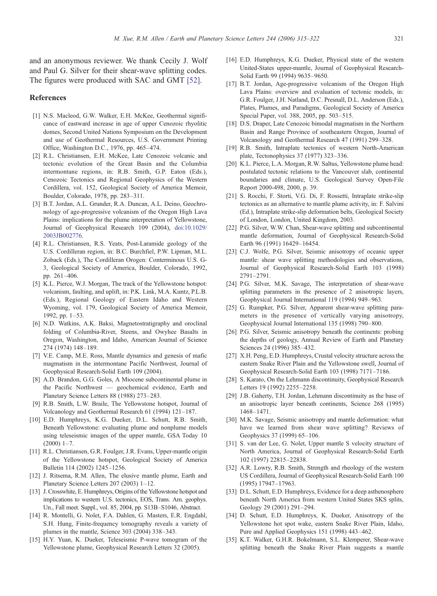<span id="page-6-0"></span>and an anonymous reviewer. We thank Cecily J. Wolf and Paul G. Silver for their shear-wave splitting codes. The figures were produced with SAC and GMT [\[52\]](#page-7-0).

### References

- [1] N.S. Macleod, G.W. Walker, E.H. McKee, Geothermal significance of eastward increase in age of upper Cenozoic rhyolitic domes, Second United Nations Symposium on the Development and use of Geothermal Resources, U.S. Government Printing Office, Washington D.C., 1976, pp. 465–474.
- [2] R.L. Christiansen, E.H. McKee, Late Cenozoic volcanic and tectonic evolution of the Great Basin and the Columbia intermontane regions, in: R.B. Smith, G.P. Eaton (Eds.), Cenozoic Tectonics and Regional Geophysics of the Western Cordillera, vol. 152, Geological Society of America Memoir, Boulder, Colorado, 1978, pp. 283–311.
- [3] B.T. Jordan, A.L. Grunder, R.A. Duncan, A.L. Deino, Geochronology of age-progressive volcanism of the Oregon High Lava Plains: implications for the plume interpretation of Yellowstone, Journal of Geophysical Research 109 (2004), [doi:10.1029/](http://dx.doi.org/10.1029/2003JB002776) 2003JB002776.
- [4] R.L. Christiansen, R.S. Yeats, Post-Laramide geology of the U.S. Cordilleran region, in: B.C. Burchfiel, P.W. Lipman, M.L. Zoback (Eds.), The Cordilleran Orogen: Conterminous U.S. G-3, Geological Society of America, Boulder, Colorado, 1992, pp. 261–406.
- [5] K.L. Pierce, W.J. Morgan, The track of the Yellowstone hotspot: volcanism, faulting, and uplift, in: P.K. Link, M.A. Kuntz, P.L.B. (Eds.), Regional Geology of Eastern Idaho and Western Wyoming, vol. 179, Geological Society of America Memoir, 1992, pp. 1–53.
- [6] N.D. Watkins, A.K. Baksi, Magnetostratigraphy and oroclinal folding of Columbia-River, Steens, and Owyhee Basalts in Oregon, Washington, and Idaho, American Journal of Science 274 (1974) 148–189.
- [7] V.E. Camp, M.E. Ross, Mantle dynamics and genesis of mafic magmatism in the intermontane Pacific Northwest, Journal of Geophysical Research-Solid Earth 109 (2004).
- [8] A.D. Brandon, G.G. Goles, A Miocene subcontinental plume in the Pacific Northwest — geochemical evidence, Earth and Planetary Science Letters 88 (1988) 273–283.
- [9] R.B. Smith, L.W. Braile, The Yellowstone hotspot, Journal of Volcanology and Geothermal Research 61 (1994) 121–187.
- [10] E.D. Humphreys, K.G. Dueker, D.L. Schutt, R.B. Smith, Beneath Yellowstone: evaluating plume and nonplume models using teleseismic images of the upper mantle, GSA Today 10  $(2000)$  1–7
- [11] R.L. Christiansen, G.R. Foulger, J.R. Evans, Upper-mantle origin of the Yellowstone hotspot, Geological Society of America Bulletin 114 (2002) 1245–1256.
- [12] J. Ritsema, R.M. Allen, The elusive mantle plume, Earth and Planetary Science Letters 207 (2003) 1–12.
- [13] J. Crosswhite, E. Humphreys, Origins of the Yellowstone hotspot and implications to western U.S. tectonics, EOS, Trans. Am. geophys. Un., Fall meet. Suppl., vol. 85, 2004, pp. S13B–S1046, Abstract.
- [14] R. Montelli, G. Nolet, F.A. Dahlen, G. Masters, E.R. Engdahl, S.H. Hung, Finite-frequency tomography reveals a variety of plumes in the mantle, Science 303 (2004) 338–343.
- [15] H.Y. Yuan, K. Dueker, Teleseismic P-wave tomogram of the Yellowstone plume, Geophysical Research Letters 32 (2005).
- [16] E.D. Humphreys, K.G. Dueker, Physical state of the western United-States upper-mantle, Journal of Geophysical Research-Solid Earth 99 (1994) 9635–9650.
- [17] B.T. Jordan, Age-progressive volcanism of the Oregon High Lava Plains: overview and evaluation of tectonic models, in: G.R. Foulger, J.H. Natland, D.C. Presnall, D.L. Anderson (Eds.), Plates, Plumes, and Paradigms, Geological Society of America Special Paper, vol. 388, 2005, pp. 503–515.
- [18] D.S. Draper, Late Cenozoic bimodal magmatism in the Northern Basin and Range Province of southeastern Oregon, Journal of Volcanology and Geothermal Research 47 (1991) 299–328.
- [19] R.B. Smith, Intraplate tectonics of western North-American plate, Tectonophysics 37 (1977) 323–336.
- [20] K.L. Pierce, L.A. Morgan, R.W. Saltus, Yellowstone plume head: postulated tectonic relations to the Vancouver slab, continental boundaries and climate, U.S. Geological Survey Open-File Report 2000-498, 2000, p. 39.
- [21] S. Rocchi, F. Storti, V.G. Di, F. Rossetti, Intraplate strike-slip tectonics as an alternative to mantle plume activity, in: F. Salvini (Ed.), Intraplate strike-slip deformation belts, Geological Society of London, London, United Kingdom, 2003.
- [22] P.G. Silver, W.W. Chan, Shear-wave splitting and subcontinental mantle deformation, Journal of Geophysical Research-Solid Earth 96 (1991) 16429–16454.
- [23] C.J. Wolfe, P.G. Silver, Seismic anisotropy of oceanic upper mantle: shear wave splitting methodologies and observations, Journal of Geophysical Research-Solid Earth 103 (1998) 2791–2791.
- [24] P.G. Silver, M.K. Savage, The interpretation of shear-wave splitting parameters in the presence of 2 anisotropic layers, Geophysical Journal International 119 (1994) 949–963.
- [25] G. Rumpker, P.G. Silver, Apparent shear-wave splitting parameters in the presence of vertically varying anisotropy, Geophysical Journal International 135 (1998) 790–800.
- [26] P.G. Silver, Seismic anisotropy beneath the continents: probing the depths of geology, Annual Review of Earth and Planetary Sciences 24 (1996) 385–432.
- [27] X.H. Peng, E.D. Humphreys, Crustal velocity structure across the eastern Snake River Plain and the Yellowstone swell, Journal of Geophysical Research-Solid Earth 103 (1998) 7171–7186.
- [28] S. Karato, On the Lehmann discontinuity, Geophysical Research Letters 19 (1992) 2255–2258.
- [29] J.B. Gaherty, T.H. Jordan, Lehmann discontinuity as the base of an anisotropic layer beneath continents, Science 268 (1995) 1468–1471.
- [30] M.K. Savage, Seismic anisotropy and mantle deformation: what have we learned from shear wave splitting? Reviews of Geophysics 37 (1999) 65–106.
- [31] S. van der Lee, G. Nolet, Upper mantle S velocity structure of North America, Journal of Geophysical Research-Solid Earth 102 (1997) 22815–22838.
- [32] A.R. Lowry, R.B. Smith, Strength and rheology of the western US Cordillera, Journal of Geophysical Research-Solid Earth 100 (1995) 17947–17963.
- [33] D.L. Schutt, E.D. Humphreys, Evidence for a deep asthenosphere beneath North America from western United States SKS splits, Geology 29 (2001) 291–294.
- [34] D. Schutt, E.D. Humphreys, K. Dueker, Anisotropy of the Yellowstone hot spot wake, eastern Snake River Plain, Idaho, Pure and Applied Geophysics 151 (1998) 443–462.
- [35] K.T. Walker, G.H.R. Bokelmann, S.L. Klemperer, Shear-wave splitting beneath the Snake River Plain suggests a mantle